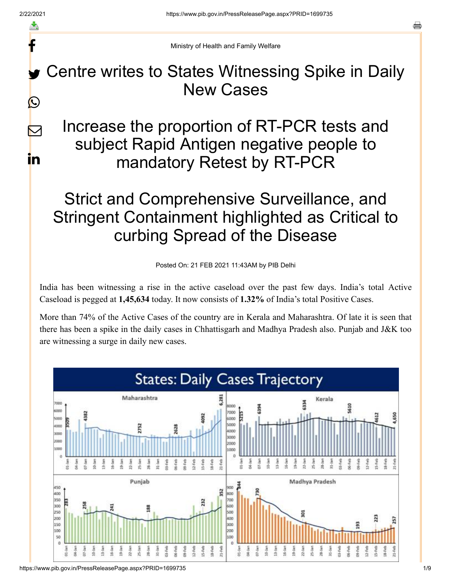f

 $\color{red} \boxtimes$ 

in

Ministry of Health and Family Welfare

Centre writes to States Witnessing Spike in Daily New Cases y.  $\bigcirc$ 

Increase the proportion of RT-PCR tests and subject Rapid Antigen negative people to mandatory Retest by RT-PCR

## Strict and Comprehensive Surveillance, and Stringent Containment highlighted as Critical to curbing Spread of the Disease

Posted On: 21 FEB 2021 11:43AM by PIB Delhi

India has been witnessing a rise in the active caseload over the past few days. India's total Active Caseload is pegged at **1,45,634** today. It now consists of **1.32%** of India's total Positive Cases.

More than 74% of the Active Cases of the country are in Kerala and Maharashtra. Of late it is seen that there has been a spike in the daily cases in Chhattisgarh and Madhya Pradesh also. Punjab and J&K too are witnessing a surge in daily new cases.

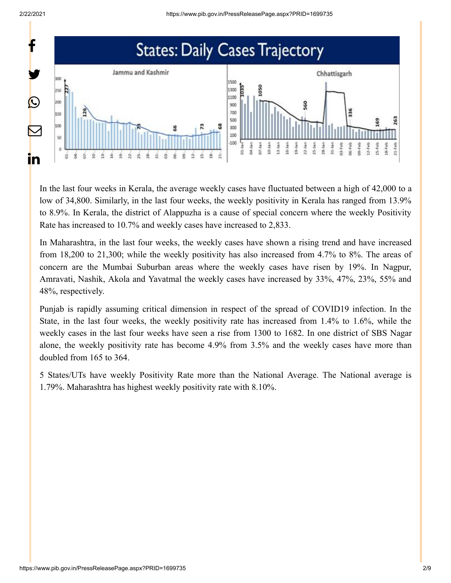

In the last four weeks in Kerala, the average weekly cases have fluctuated between a high of 42,000 to a low of 34,800. Similarly, in the last four weeks, the weekly positivity in Kerala has ranged from 13.9% to 8.9%. In Kerala, the district of Alappuzha is a cause of special concern where the weekly Positivity Rate has increased to 10.7% and weekly cases have increased to 2,833.

In Maharashtra, in the last four weeks, the weekly cases have shown a rising trend and have increased from 18,200 to 21,300; while the weekly positivity has also increased from 4.7% to 8%. The areas of concern are the Mumbai Suburban areas where the weekly cases have risen by 19%. In Nagpur, Amravati, Nashik, Akola and Yavatmal the weekly cases have increased by 33%, 47%, 23%, 55% and 48%, respectively.

Punjab is rapidly assuming critical dimension in respect of the spread of COVID19 infection. In the State, in the last four weeks, the weekly positivity rate has increased from 1.4% to 1.6%, while the weekly cases in the last four weeks have seen a rise from 1300 to 1682. In one district of SBS Nagar alone, the weekly positivity rate has become 4.9% from 3.5% and the weekly cases have more than doubled from 165 to 364.

5 States/UTs have weekly Positivity Rate more than the National Average. The National average is 1.79%. Maharashtra has highest weekly positivity rate with 8.10%.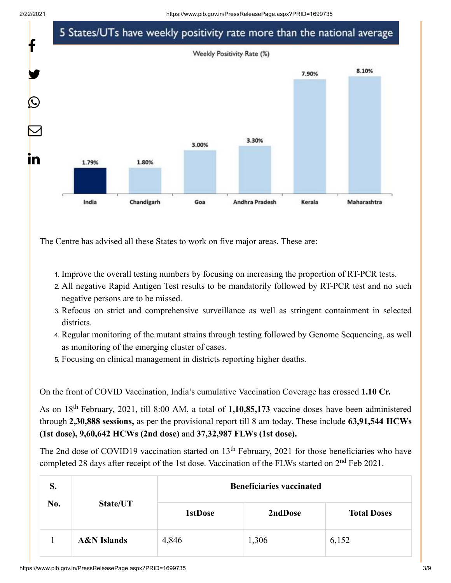2/22/2021 https://www.pib.gov.in/PressReleasePage.aspx?PRID=1699735



The Centre has advised all these States to work on five major areas. These are:

- 1. Improve the overall testing numbers by focusing on increasing the proportion of RT-PCR tests.
- 2. All negative Rapid Antigen Test results to be mandatorily followed by RT-PCR test and no such negative persons are to be missed.
- 3. Refocus on strict and comprehensive surveillance as well as stringent containment in selected districts.
- 4. Regular monitoring of the mutant strains through testing followed by Genome Sequencing, as well as monitoring of the emerging cluster of cases.
- 5. Focusing on clinical management in districts reporting higher deaths.

On the front of COVID Vaccination, India's cumulative Vaccination Coverage has crossed **1.10 Cr.**

As on 18<sup>th</sup> February, 2021, till 8:00 AM, a total of 1,10,85,173 vaccine doses have been administered through **2,30,888 sessions,** as per the provisional report till 8 am today. These include **63,91,544 HCWs (1st dose), 9,60,642 HCWs (2nd dose)** and **37,32,987 FLWs (1st dose).**

The 2nd dose of COVID19 vaccination started on  $13<sup>th</sup>$  February, 2021 for those beneficiaries who have completed 28 days after receipt of the 1st dose. Vaccination of the FLWs started on  $2<sup>nd</sup>$  Feb 2021.

| S.<br>No. | State/UT               | <b>Beneficiaries vaccinated</b> |         |                    |
|-----------|------------------------|---------------------------------|---------|--------------------|
|           |                        | <b>1stDose</b>                  | 2ndDose | <b>Total Doses</b> |
|           | <b>A&amp;N</b> Islands | 4,846                           | 1,306   | 6,152              |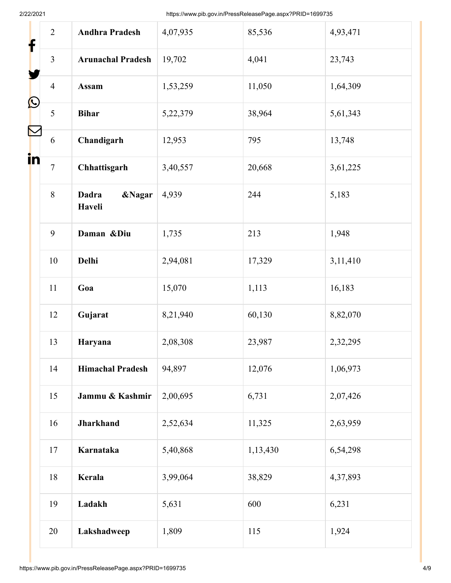2/22/2021 https://www.pib.gov.in/PressReleasePage.aspx?PRID=1699735

| f<br>L<br>in | $\overline{2}$ | <b>Andhra Pradesh</b>                       | 4,07,935 | 85,536   | 4,93,471 |
|--------------|----------------|---------------------------------------------|----------|----------|----------|
|              | $\overline{3}$ | <b>Arunachal Pradesh</b>                    | 19,702   | 4,041    | 23,743   |
|              | $\overline{4}$ | <b>Assam</b>                                | 1,53,259 | 11,050   | 1,64,309 |
|              | 5              | <b>Bihar</b>                                | 5,22,379 | 38,964   | 5,61,343 |
|              | 6              | Chandigarh                                  | 12,953   | 795      | 13,748   |
|              | $\overline{7}$ | Chhattisgarh                                | 3,40,557 | 20,668   | 3,61,225 |
|              | 8              | <b>Dadra</b><br><b>&amp;Nagar</b><br>Haveli | 4,939    | 244      | 5,183    |
|              | 9              | Daman &Diu                                  | 1,735    | 213      | 1,948    |
|              | 10             | Delhi                                       | 2,94,081 | 17,329   | 3,11,410 |
|              | 11             | Goa                                         | 15,070   | 1,113    | 16,183   |
|              | 12             | Gujarat                                     | 8,21,940 | 60,130   | 8,82,070 |
|              | 13             | Haryana                                     | 2,08,308 | 23,987   | 2,32,295 |
|              | 14             | <b>Himachal Pradesh</b>                     | 94,897   | 12,076   | 1,06,973 |
|              | 15             | Jammu & Kashmir                             | 2,00,695 | 6,731    | 2,07,426 |
|              | 16             | <b>Jharkhand</b>                            | 2,52,634 | 11,325   | 2,63,959 |
|              | 17             | Karnataka                                   | 5,40,868 | 1,13,430 | 6,54,298 |
|              | 18             | Kerala                                      | 3,99,064 | 38,829   | 4,37,893 |
|              | 19             | Ladakh                                      | 5,631    | 600      | 6,231    |
|              | 20             | Lakshadweep                                 | 1,809    | 115      | 1,924    |
|              |                |                                             |          |          |          |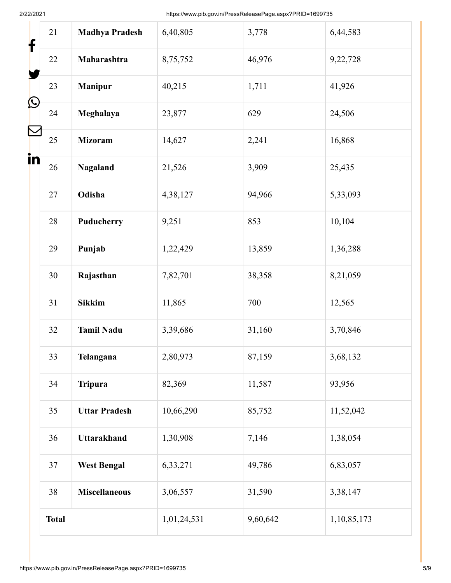2/22/2021 https://www.pib.gov.in/PressReleasePage.aspx?PRID=1699735

| f       | 21           | <b>Madhya Pradesh</b> | 6,40,805    | 3,778    | 6,44,583    |
|---------|--------------|-----------------------|-------------|----------|-------------|
|         | 22           | Maharashtra           | 8,75,752    | 46,976   | 9,22,728    |
|         | 23           | <b>Manipur</b>        | 40,215      | 1,711    | 41,926      |
| L<br>in | 24           | Meghalaya             | 23,877      | 629      | 24,506      |
|         | 25           | <b>Mizoram</b>        | 14,627      | 2,241    | 16,868      |
|         | 26           | Nagaland              | 21,526      | 3,909    | 25,435      |
|         | 27           | Odisha                | 4,38,127    | 94,966   | 5,33,093    |
|         | 28           | Puducherry            | 9,251       | 853      | 10,104      |
|         | 29           | Punjab                | 1,22,429    | 13,859   | 1,36,288    |
|         | 30           | Rajasthan             | 7,82,701    | 38,358   | 8,21,059    |
|         | 31           | <b>Sikkim</b>         | 11,865      | 700      | 12,565      |
|         | 32           | <b>Tamil Nadu</b>     | 3,39,686    | 31,160   | 3,70,846    |
|         | 33           | Telangana             | 2,80,973    | 87,159   | 3,68,132    |
|         | 34           | <b>Tripura</b>        | 82,369      | 11,587   | 93,956      |
|         | 35           | <b>Uttar Pradesh</b>  | 10,66,290   | 85,752   | 11,52,042   |
|         | 36           | <b>Uttarakhand</b>    | 1,30,908    | 7,146    | 1,38,054    |
|         | 37           | <b>West Bengal</b>    | 6,33,271    | 49,786   | 6,83,057    |
|         | 38           | <b>Miscellaneous</b>  | 3,06,557    | 31,590   | 3,38,147    |
|         | <b>Total</b> |                       | 1,01,24,531 | 9,60,642 | 1,10,85,173 |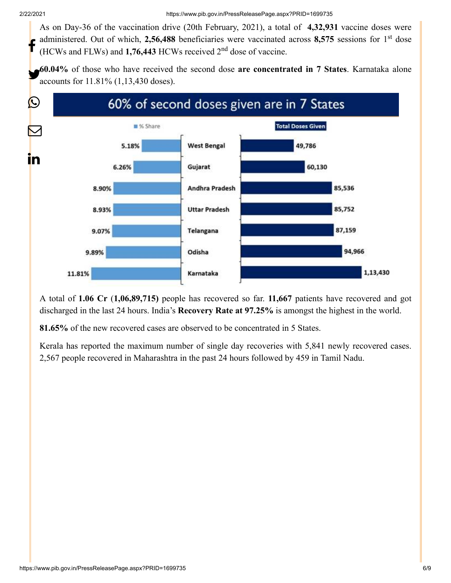As on Day-36 of the vaccination drive (20th February, 2021), a total of **4,32,931** vaccine doses were administered. Out of which, 2,56,488 beneficiaries were vaccinated across 8,575 sessions for 1<sup>st</sup> dose doministered. Out of which, 2,50,466 beneficiaries were vaccinated<br>
(HCWs and FLWs) and 1,76,443 HCWs received 2<sup>nd</sup> dose of vaccine.

**60.04%** of those who have received the second dose **are concentrated in 7 States**. Karnataka alone accounts for 11.81% (1,13,430 doses).



A total of **1.06 Cr** (**1,06,89,715)** people has recovered so far. **11,667** patients have recovered and got discharged in the last 24 hours. India's **Recovery Rate at 97.25%** is amongst the highest in the world.

**81.65%** of the new recovered cases are observed to be concentrated in 5 States.

Kerala has reported the maximum number of single day recoveries with 5,841 newly recovered cases. 2,567 people recovered in Maharashtra in the past 24 hours followed by 459 in Tamil Nadu.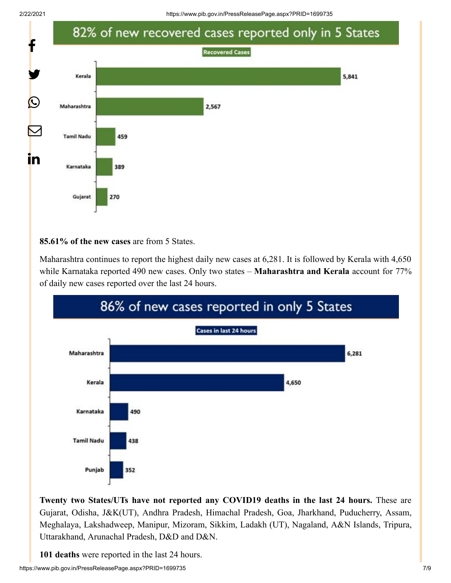

## **85.61% of the new cases** are from 5 States.

Maharashtra continues to report the highest daily new cases at 6,281. It is followed by Kerala with 4,650 while Karnataka reported 490 new cases. Only two states – **Maharashtra and Kerala** account for 77% of daily new cases reported over the last 24 hours.



**Twenty two States/UTs have not reported any COVID19 deaths in the last 24 hours.** These are Gujarat, Odisha, J&K(UT), Andhra Pradesh, Himachal Pradesh, Goa, Jharkhand, Puducherry, Assam, Meghalaya, Lakshadweep, Manipur, Mizoram, Sikkim, Ladakh (UT), Nagaland, A&N Islands, Tripura, Uttarakhand, Arunachal Pradesh, D&D and D&N.

**101 deaths** were reported in the last 24 hours.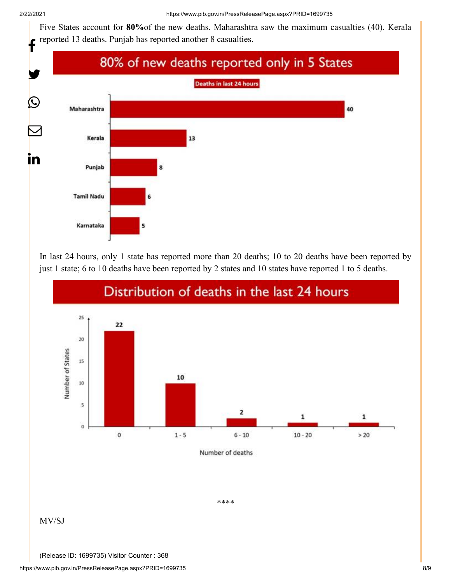Five States account for **80%**of the new deaths. Maharashtra saw the maximum casualties (40). Kerala reported 13 deaths. Punjab has reported another 8 casualties.



In last 24 hours, only 1 state has reported more than 20 deaths; 10 to 20 deaths have been reported by just 1 state; 6 to 10 deaths have been reported by 2 states and 10 states have reported 1 to 5 deaths.



\*\*\*\*

## MV/SJ